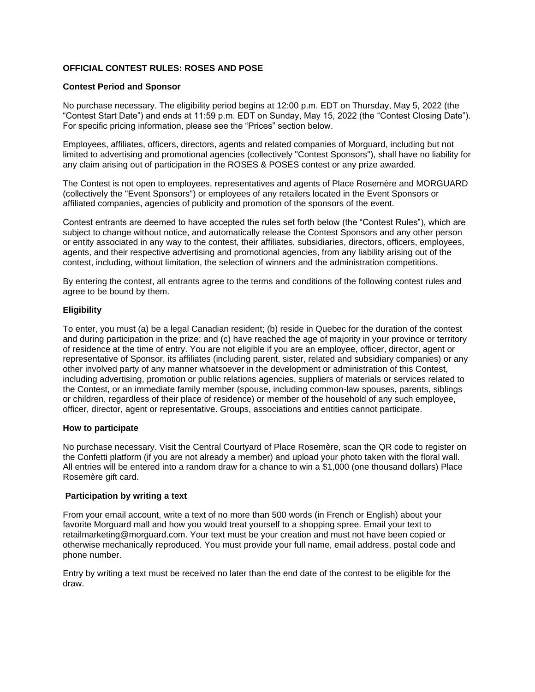# **OFFICIAL CONTEST RULES: ROSES AND POSE**

### **Contest Period and Sponsor**

No purchase necessary. The eligibility period begins at 12:00 p.m. EDT on Thursday, May 5, 2022 (the "Contest Start Date") and ends at 11:59 p.m. EDT on Sunday, May 15, 2022 (the "Contest Closing Date"). For specific pricing information, please see the "Prices" section below.

Employees, affiliates, officers, directors, agents and related companies of Morguard, including but not limited to advertising and promotional agencies (collectively "Contest Sponsors"), shall have no liability for any claim arising out of participation in the ROSES & POSES contest or any prize awarded.

The Contest is not open to employees, representatives and agents of Place Rosemère and MORGUARD (collectively the "Event Sponsors") or employees of any retailers located in the Event Sponsors or affiliated companies, agencies of publicity and promotion of the sponsors of the event.

Contest entrants are deemed to have accepted the rules set forth below (the "Contest Rules"), which are subject to change without notice, and automatically release the Contest Sponsors and any other person or entity associated in any way to the contest, their affiliates, subsidiaries, directors, officers, employees, agents, and their respective advertising and promotional agencies, from any liability arising out of the contest, including, without limitation, the selection of winners and the administration competitions.

By entering the contest, all entrants agree to the terms and conditions of the following contest rules and agree to be bound by them.

# **Eligibility**

To enter, you must (a) be a legal Canadian resident; (b) reside in Quebec for the duration of the contest and during participation in the prize; and (c) have reached the age of majority in your province or territory of residence at the time of entry. You are not eligible if you are an employee, officer, director, agent or representative of Sponsor, its affiliates (including parent, sister, related and subsidiary companies) or any other involved party of any manner whatsoever in the development or administration of this Contest, including advertising, promotion or public relations agencies, suppliers of materials or services related to the Contest, or an immediate family member (spouse, including common-law spouses, parents, siblings or children, regardless of their place of residence) or member of the household of any such employee, officer, director, agent or representative. Groups, associations and entities cannot participate.

### **How to participate**

No purchase necessary. Visit the Central Courtyard of Place Rosemère, scan the QR code to register on the Confetti platform (if you are not already a member) and upload your photo taken with the floral wall. All entries will be entered into a random draw for a chance to win a \$1,000 (one thousand dollars) Place Rosemère gift card.

# **Participation by writing a text**

From your email account, write a text of no more than 500 words (in French or English) about your favorite Morguard mall and how you would treat yourself to a shopping spree. Email your text to retailmarketing@morguard.com. Your text must be your creation and must not have been copied or otherwise mechanically reproduced. You must provide your full name, email address, postal code and phone number.

Entry by writing a text must be received no later than the end date of the contest to be eligible for the draw.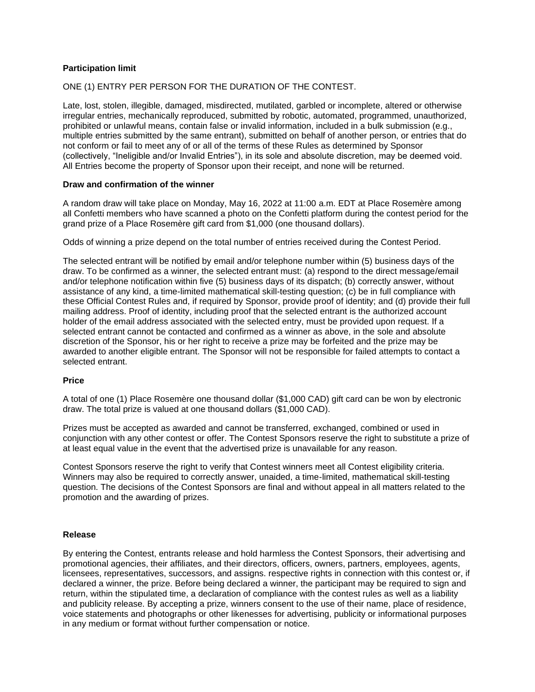# **Participation limit**

# ONE (1) ENTRY PER PERSON FOR THE DURATION OF THE CONTEST.

Late, lost, stolen, illegible, damaged, misdirected, mutilated, garbled or incomplete, altered or otherwise irregular entries, mechanically reproduced, submitted by robotic, automated, programmed, unauthorized, prohibited or unlawful means, contain false or invalid information, included in a bulk submission (e.g., multiple entries submitted by the same entrant), submitted on behalf of another person, or entries that do not conform or fail to meet any of or all of the terms of these Rules as determined by Sponsor (collectively, "Ineligible and/or Invalid Entries"), in its sole and absolute discretion, may be deemed void. All Entries become the property of Sponsor upon their receipt, and none will be returned.

### **Draw and confirmation of the winner**

A random draw will take place on Monday, May 16, 2022 at 11:00 a.m. EDT at Place Rosemère among all Confetti members who have scanned a photo on the Confetti platform during the contest period for the grand prize of a Place Rosemère gift card from \$1,000 (one thousand dollars).

Odds of winning a prize depend on the total number of entries received during the Contest Period.

The selected entrant will be notified by email and/or telephone number within (5) business days of the draw. To be confirmed as a winner, the selected entrant must: (a) respond to the direct message/email and/or telephone notification within five (5) business days of its dispatch; (b) correctly answer, without assistance of any kind, a time-limited mathematical skill-testing question; (c) be in full compliance with these Official Contest Rules and, if required by Sponsor, provide proof of identity; and (d) provide their full mailing address. Proof of identity, including proof that the selected entrant is the authorized account holder of the email address associated with the selected entry, must be provided upon request. If a selected entrant cannot be contacted and confirmed as a winner as above, in the sole and absolute discretion of the Sponsor, his or her right to receive a prize may be forfeited and the prize may be awarded to another eligible entrant. The Sponsor will not be responsible for failed attempts to contact a selected entrant.

# **Price**

A total of one (1) Place Rosemère one thousand dollar (\$1,000 CAD) gift card can be won by electronic draw. The total prize is valued at one thousand dollars (\$1,000 CAD).

Prizes must be accepted as awarded and cannot be transferred, exchanged, combined or used in conjunction with any other contest or offer. The Contest Sponsors reserve the right to substitute a prize of at least equal value in the event that the advertised prize is unavailable for any reason.

Contest Sponsors reserve the right to verify that Contest winners meet all Contest eligibility criteria. Winners may also be required to correctly answer, unaided, a time-limited, mathematical skill-testing question. The decisions of the Contest Sponsors are final and without appeal in all matters related to the promotion and the awarding of prizes.

### **Release**

By entering the Contest, entrants release and hold harmless the Contest Sponsors, their advertising and promotional agencies, their affiliates, and their directors, officers, owners, partners, employees, agents, licensees, representatives, successors, and assigns. respective rights in connection with this contest or, if declared a winner, the prize. Before being declared a winner, the participant may be required to sign and return, within the stipulated time, a declaration of compliance with the contest rules as well as a liability and publicity release. By accepting a prize, winners consent to the use of their name, place of residence, voice statements and photographs or other likenesses for advertising, publicity or informational purposes in any medium or format without further compensation or notice.